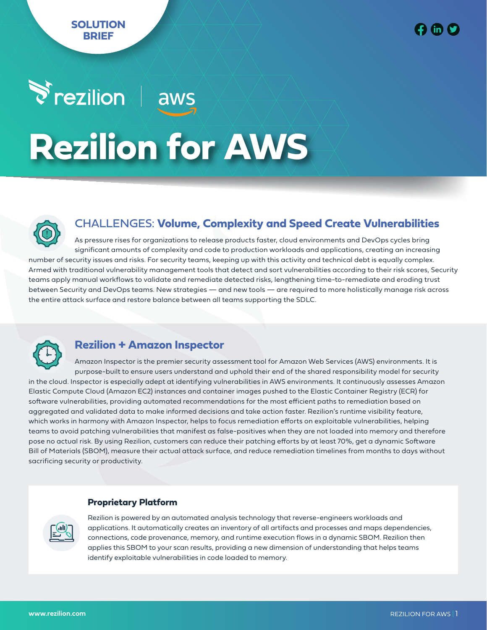# $\blacktriangleright$  rezilion $\neq$ aws **Rezilion for AWS**



# CHALLENGES: **Volume, Complexity and Speed Create Vulnerabilities**

As pressure rises for organizations to release products faster, cloud environments and DevOps cycles bring significant amounts of complexity and code to production workloads and applications, creating an increasing number of security issues and risks. For security teams, keeping up with this activity and technical debt is equally complex. Armed with traditional vulnerability management tools that detect and sort vulnerabilities according to their risk scores, Security teams apply manual workflows to validate and remediate detected risks, lengthening time-to-remediate and eroding trust between Security and DevOps teams. New strategies — and new tools — are required to more holistically manage risk across the entire attack surface and restore balance between all teams supporting the SDLC.



# **Rezilion + Amazon Inspector**

Amazon Inspector is the premier security assessment tool for Amazon Web Services (AWS) environments. It is purpose-built to ensure users understand and uphold their end of the shared responsibility model for security in the cloud. Inspector is especially adept at identifying vulnerabilities in AWS environments. It continuously assesses Amazon Elastic Compute Cloud (Amazon EC2) instances and container images pushed to the Elastic Container Registry (ECR) for software vulnerabilities, providing automated recommendations for the most efficient paths to remediation based on aggregated and validated data to make informed decisions and take action faster. Rezilion's runtime visibility feature, which works in harmony with Amazon Inspector, helps to focus remediation efforts on exploitable vulnerabilities, helping teams to avoid patching vulnerabilities that manifest as false-positives when they are not loaded into memory and therefore pose no actual risk. By using Rezilion, customers can reduce their patching efforts by at least 70%, get a dynamic Software Bill of Materials (SBOM), measure their actual attack surface, and reduce remediation timelines from months to days without sacrificing security or productivity.

## **Proprietary Platform**



Rezilion is powered by an automated analysis technology that reverse-engineers workloads and applications. It automatically creates an inventory of all artifacts and processes and maps dependencies, connections, code provenance, memory, and runtime execution flows in a dynamic SBOM. Rezilion then applies this SBOM to your scan results, providing a new dimension of understanding that helps teams identify exploitable vulnerabilities in code loaded to memory.